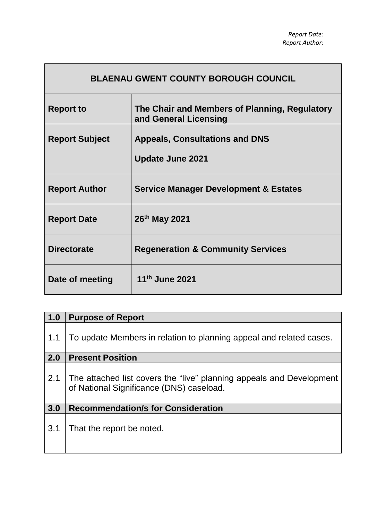| <b>BLAENAU GWENT COUNTY BOROUGH COUNCIL</b> |                                                                        |  |  |  |  |
|---------------------------------------------|------------------------------------------------------------------------|--|--|--|--|
| <b>Report to</b>                            | The Chair and Members of Planning, Regulatory<br>and General Licensing |  |  |  |  |
| <b>Report Subject</b>                       | <b>Appeals, Consultations and DNS</b><br><b>Update June 2021</b>       |  |  |  |  |
| <b>Report Author</b>                        | <b>Service Manager Development &amp; Estates</b>                       |  |  |  |  |
| <b>Report Date</b>                          | 26th May 2021                                                          |  |  |  |  |
| <b>Directorate</b>                          | <b>Regeneration &amp; Community Services</b>                           |  |  |  |  |
| Date of meeting                             | 11 <sup>th</sup> June 2021                                             |  |  |  |  |

 $\mathsf{r}$ 

| 1.0 | <b>Purpose of Report</b>                                                                                         |
|-----|------------------------------------------------------------------------------------------------------------------|
| 1.1 | To update Members in relation to planning appeal and related cases.                                              |
| 2.0 | <b>Present Position</b>                                                                                          |
| 2.1 | The attached list covers the "live" planning appeals and Development<br>of National Significance (DNS) caseload. |
| 3.0 | <b>Recommendation/s for Consideration</b>                                                                        |
| 3.1 | That the report be noted.                                                                                        |